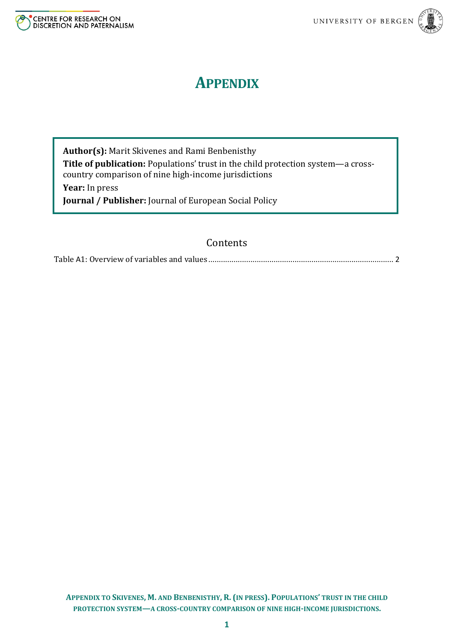



## **APPENDIX**

**Author(s):** Marit Skivenes and Rami Benbenisthy **Title of publication:** Populations' trust in the child protection system—a crosscountry comparison of nine high-income jurisdictions **Year:** In press

**Journal / Publisher:** Journal of European Social Policy

## Contents

Table A1: Overview of variables and values [........................................................................................](#page-1-0) [2](#page-1-0)

**APPENDIX TO SKIVENES, M. AND BENBENISTHY, R. (IN PRESS). POPULATIONS' TRUST IN THE CHILD PROTECTION SYSTEM—A CROSS-COUNTRY COMPARISON OF NINE HIGH-INCOME JURISDICTIONS.**